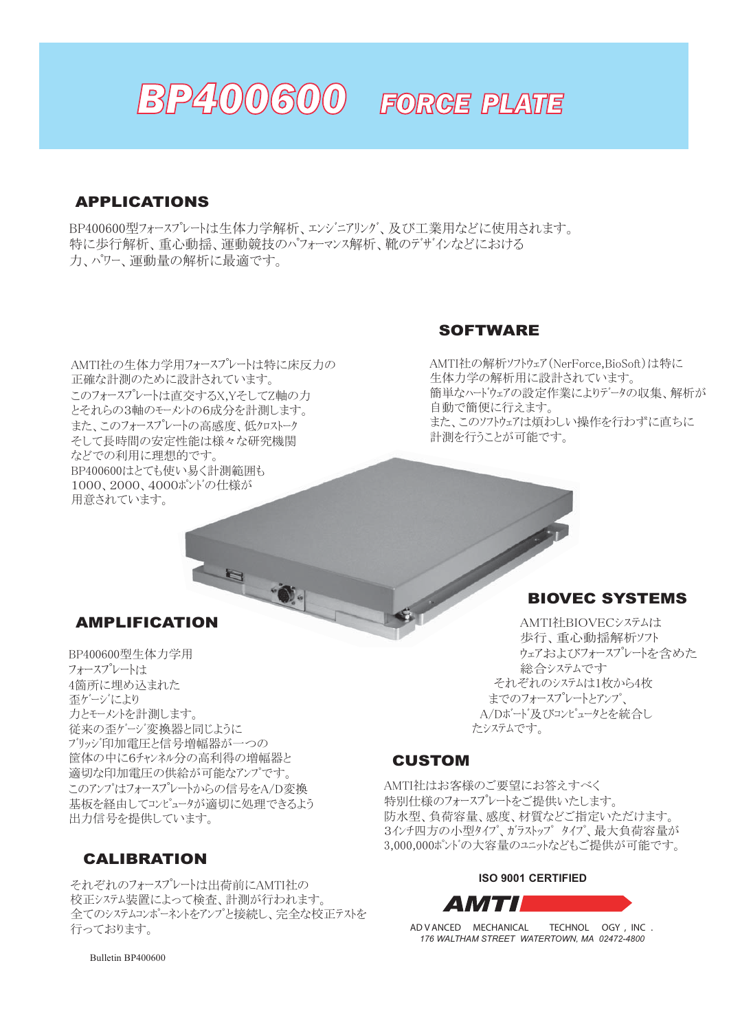

## APPLICATIONS

BP400600型フォースプレートは生体力学解析、エンジニアリング、及び工業用などに使用されます。 特に歩行解析、重心動揺、運動競技のパフォーマンス解析、靴のデザインなどにおける 力、パワー、運動量の解析に最適です。

AMTI社の生体力学用フォースプレートは特に床反力の 正確な計測のために設計されています。 このフォースプレートは直交するX.YそしてZ軸の力 とそれらの3軸のモーメントの6成分を計測します。 また、このフォースプレートの高感度、低クロストーク そして長時間の安定性能は様々な研究機関 などでの利用に理想的です。 BP400600はとても使い易く計測範囲も 1000、2000、4000ポンドの仕様が 用意されています。

#### **SOFTWARE**

AMTI社の解析ソフトウェア (NerForce,BioSoft)は特に 生体力学の解析用に設計されています。 簡単なハードウェアの設定作業によりデータの収集、解析が 自動で簡便に行えます。 また、このソフトウェアは煩わしい操作を行わずに直ちに 計測を行うことが可能です。

## AMPLIFICATION

BP400600型生体力学用 フォースプレートは 4箇所に埋め込まれた 歪ゲージにより 力とモーメントを計測します。 従来の歪ゲージ変換器と同じように ブリッジ印加電圧と信号増幅器が一つの 筐体の中に6チャンネル分の高利得の増幅器と 適切な印加雷圧の供給が可能なアンプです。 このアンプはフォースプレートからの信号をA/D変換 基板を経由してコンピュータが適切に処理できるよう 出力信号を提供しています。

## CALIBRATION

それぞれのフォースプレートは出荷前にAMTI社の 校正システム装置によって検査、計測が行われます。 全てのシステムコンポーネントをアンプと接続し、完全な校正テストを 行っております。

## BIOVEC SYSTEMS

AMTI社BIOVECシステムは 歩行、重心動揺解析ソフト ウェアおよびフォースプレートを含めた 総合システムです それぞれのシステムは1枚から4枚 までのフォースプレート *トアンプ*、 A/Dボード及びコンピュータとを統合し たシステムです。

#### CUSTOM

AMTI社はお客様のご要望にお答えすべく 特別仕様のフォースプレートをご提供いたします。 防水型、負荷容量、感度、材質などご指定いただけます。 3インチ四方の小型タイプ、ガラストップタイプ、最大負荷容量が 3,000,000ポンドの大容量のユニットなどもご提供が可能です。

#### **ISO 9001 CERTIFIED**

AMTI

*AD V ANCED MECHANICAL TECHNOL OGY , INC . 176 WALTHAM STREET WATERTOWN, MA 02472-4800*

Bulletin BP400600 *email: sales@amtimail.com web: www.amtiweb.com*